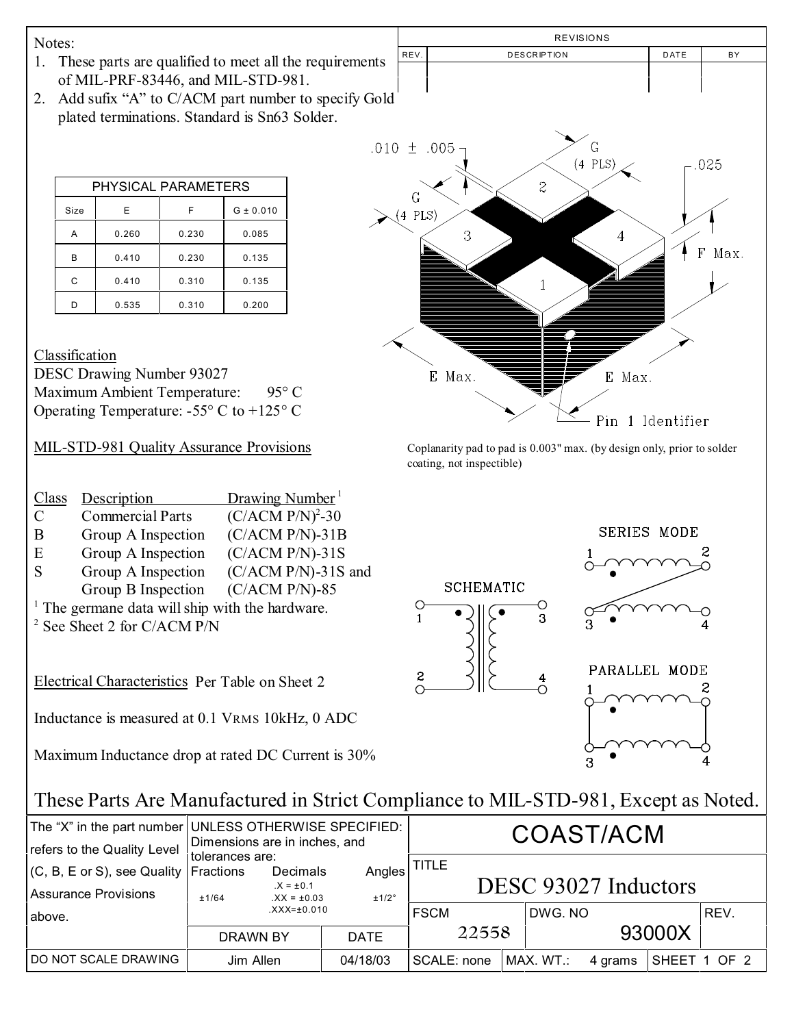Notes:

- 1. These parts are qualified to meet all the requirements of MIL-PRF-83446, and MIL-STD-981.
- 2. Add sufix "A" to C/ACM part number to specify Gold plated terminations. Standard is Sn63 Solder.

| PHYSICAL PARAMETERS |       |       |               |  |  |  |
|---------------------|-------|-------|---------------|--|--|--|
| Size                | F     | F     | $G \pm 0.010$ |  |  |  |
| А                   | 0.260 | 0.230 | 0.085         |  |  |  |
| B                   | 0.410 | 0.230 | 0.135         |  |  |  |
| C                   | 0.410 | 0.310 | 0.135         |  |  |  |
|                     | 0.535 | 0.310 | 0.200         |  |  |  |

**Classification** 

DESC Drawing Number 93027 Maximum Ambient Temperature: 95° C Operating Temperature: -55° C to +125° C

| Class | Description             | Drawing Number <sup>1</sup>                          |
|-------|-------------------------|------------------------------------------------------|
| C     | <b>Commercial Parts</b> | $(C/ACM P/N)^{2}$ -30                                |
| B     | Group A Inspection      | $(C/ACM P/N)-31B$                                    |
| E     | Group A Inspection      | $(C/ACM P/N)-31S$                                    |
|       | Group A Ingnoction      | $(C/\Lambda C\overline{\Lambda}I)$ D/ND 218 $\sigma$ |

- S Group A Inspection (C/ACM P/N)-31S and
- Group B Inspection (C/ACM P/N)-85
- <sup>1</sup> The germane data will ship with the hardware.
- 2 See Sheet 2 for C/ACM P/N

Electrical Characteristics Per Table on Sheet 2

Inductance is measured at 0.1 VRMS 10kHz, 0 ADC

Maximum Inductance drop at rated DC Current is 30%



MIL-STD-981 Quality Assurance Provisions Coplanarity pad to pad is 0.003" max. (by design only, prior to solder coating, not inspectible)



## These Parts Are Manufactured in Strict Compliance to MIL-STD-981, Except as Noted.

| refers to the Quality Level                                                 | The "X" in the part number UNLESS OTHERWISE SPECIFIED:<br>Dimensions are in inches, and |                                            |                 | COAST/ACM                            |  |           |         |              |      |
|-----------------------------------------------------------------------------|-----------------------------------------------------------------------------------------|--------------------------------------------|-----------------|--------------------------------------|--|-----------|---------|--------------|------|
| $(C, B, E \text{ or } S)$ , see Quality   Fractions<br>Assurance Provisions | tolerances are:<br>±1/64                                                                | Decimals<br>$.X = ±0.1$<br>$XX = \pm 0.03$ | Angles<br>±1/2° | <b>TITLE</b><br>DESC 93027 Inductors |  |           |         |              |      |
| above.                                                                      |                                                                                         | $XXX = \pm 0.010$                          |                 | <b>FSCM</b>                          |  | DWG. NO   |         |              | REV. |
|                                                                             | DRAWN BY                                                                                |                                            | <b>DATE</b>     | 22558                                |  | 93000X    |         |              |      |
| DO NOT SCALE DRAWING                                                        | Jim Allen                                                                               |                                            | 04/18/03        | SCALE: none                          |  | MAX. WT.: | 4 grams | SHEET 1 OF 2 |      |